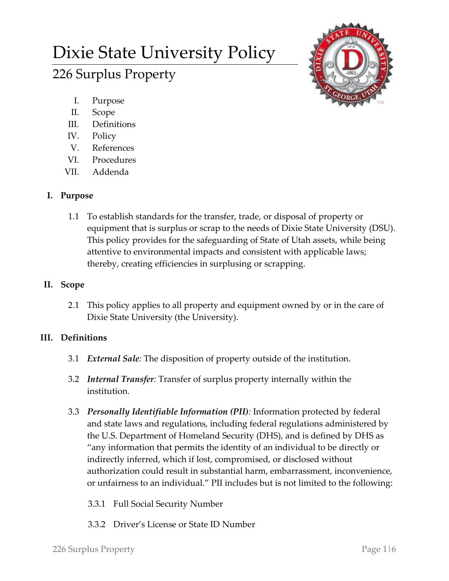# Dixie State University Policy

# 226 Surplus Property



- I. Purpose
- II. Scope
- III. Definitions
- IV. Policy
- V. References
- VI. Procedures
- VII. Addenda

# **I. Purpose**

1.1 To establish standards for the transfer, trade, or disposal of property or equipment that is surplus or scrap to the needs of Dixie State University (DSU). This policy provides for the safeguarding of State of Utah assets, while being attentive to environmental impacts and consistent with applicable laws; thereby, creating efficiencies in surplusing or scrapping.

# **II. Scope**

2.1 This policy applies to all property and equipment owned by or in the care of Dixie State University (the University).

# **III. Definitions**

- 3.1 *External Sale:* The disposition of property outside of the institution.
- 3.2 *Internal Transfer:* Transfer of surplus property internally within the institution.
- 3.3 *Personally Identifiable Information (PII):* Information protected by federal and state laws and regulations, including federal regulations administered by the U.S. Department of Homeland Security (DHS), and is defined by DHS as "any information that permits the identity of an individual to be directly or indirectly inferred, which if lost, compromised, or disclosed without authorization could result in substantial harm, embarrassment, inconvenience, or unfairness to an individual." PII includes but is not limited to the following:
	- 3.3.1 Full Social Security Number
	- 3.3.2 Driver's License or State ID Number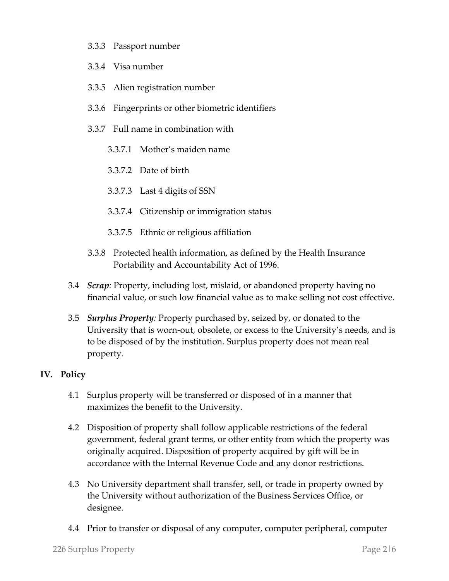- 3.3.3 Passport number
- 3.3.4 Visa number
- 3.3.5 Alien registration number
- 3.3.6 Fingerprints or other biometric identifiers
- 3.3.7 Full name in combination with
	- 3.3.7.1 Mother's maiden name
	- 3.3.7.2 Date of birth
	- 3.3.7.3 Last 4 digits of SSN
	- 3.3.7.4 Citizenship or immigration status
	- 3.3.7.5 Ethnic or religious affiliation
- 3.3.8 Protected health information, as defined by the Health Insurance Portability and Accountability Act of 1996.
- 3.4 *Scrap:* Property, including lost, mislaid, or abandoned property having no financial value, or such low financial value as to make selling not cost effective.
- 3.5 *Surplus Property:* Property purchased by, seized by, or donated to the University that is worn-out, obsolete, or excess to the University's needs, and is to be disposed of by the institution. Surplus property does not mean real property.

### **IV. Policy**

- 4.1 Surplus property will be transferred or disposed of in a manner that maximizes the benefit to the University.
- 4.2 Disposition of property shall follow applicable restrictions of the federal government, federal grant terms, or other entity from which the property was originally acquired. Disposition of property acquired by gift will be in accordance with the Internal Revenue Code and any donor restrictions.
- 4.3 No University department shall transfer, sell, or trade in property owned by the University without authorization of the Business Services Office, or designee.
- 4.4 Prior to transfer or disposal of any computer, computer peripheral, computer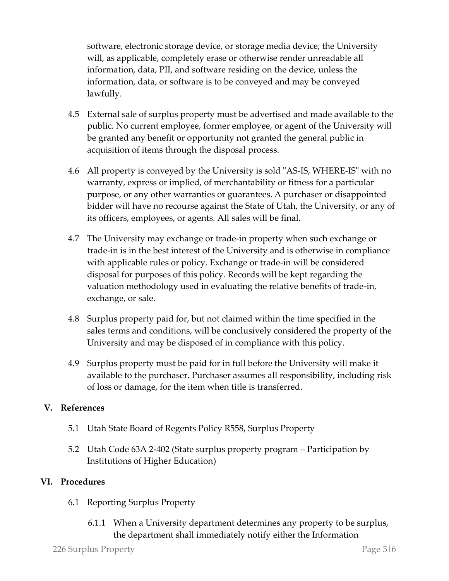software, electronic storage device, or storage media device, the University will, as applicable, completely erase or otherwise render unreadable all information, data, PII, and software residing on the device, unless the information, data, or software is to be conveyed and may be conveyed lawfully.

- 4.5 External sale of surplus property must be advertised and made available to the public. No current employee, former employee, or agent of the University will be granted any benefit or opportunity not granted the general public in acquisition of items through the disposal process.
- 4.6 All property is conveyed by the University is sold "AS-IS, WHERE-IS" with no warranty, express or implied, of merchantability or fitness for a particular purpose, or any other warranties or guarantees. A purchaser or disappointed bidder will have no recourse against the State of Utah, the University, or any of its officers, employees, or agents. All sales will be final.
- 4.7 The University may exchange or trade-in property when such exchange or trade-in is in the best interest of the University and is otherwise in compliance with applicable rules or policy. Exchange or trade-in will be considered disposal for purposes of this policy. Records will be kept regarding the valuation methodology used in evaluating the relative benefits of trade-in, exchange, or sale.
- 4.8 Surplus property paid for, but not claimed within the time specified in the sales terms and conditions, will be conclusively considered the property of the University and may be disposed of in compliance with this policy.
- 4.9 Surplus property must be paid for in full before the University will make it available to the purchaser. Purchaser assumes all responsibility, including risk of loss or damage, for the item when title is transferred.

### **V. References**

- 5.1 Utah State Board of Regents Policy R558, Surplus Property
- 5.2 Utah Code 63A 2-402 (State surplus property program Participation by Institutions of Higher Education)

### **VI. Procedures**

- 6.1 Reporting Surplus Property
	- 6.1.1 When a University department determines any property to be surplus, the department shall immediately notify either the Information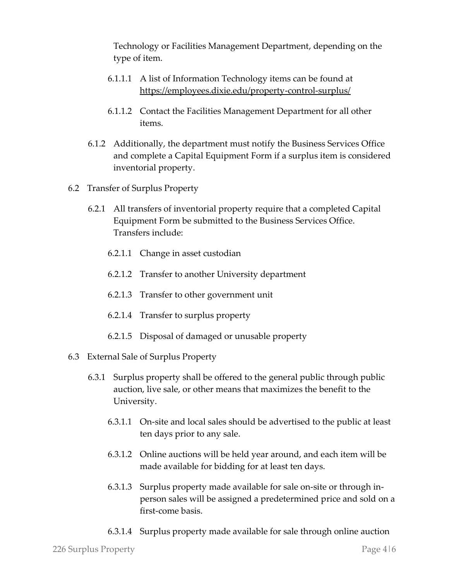Technology or Facilities Management Department, depending on the type of item.

- 6.1.1.1 A list of Information Technology items can be found at <https://employees.dixie.edu/property-control-surplus/>
- 6.1.1.2 Contact the Facilities Management Department for all other items.
- 6.1.2 Additionally, the department must notify the Business Services Office and complete a Capital Equipment Form if a surplus item is considered inventorial property.
- 6.2 Transfer of Surplus Property
	- 6.2.1 All transfers of inventorial property require that a completed Capital Equipment Form be submitted to the Business Services Office. Transfers include:
		- 6.2.1.1 Change in asset custodian
		- 6.2.1.2 Transfer to another University department
		- 6.2.1.3 Transfer to other government unit
		- 6.2.1.4 Transfer to surplus property
		- 6.2.1.5 Disposal of damaged or unusable property
- 6.3 External Sale of Surplus Property
	- 6.3.1 Surplus property shall be offered to the general public through public auction, live sale, or other means that maximizes the benefit to the University.
		- 6.3.1.1 On-site and local sales should be advertised to the public at least ten days prior to any sale.
		- 6.3.1.2 Online auctions will be held year around, and each item will be made available for bidding for at least ten days.
		- 6.3.1.3 Surplus property made available for sale on-site or through inperson sales will be assigned a predetermined price and sold on a first-come basis.
		- 6.3.1.4 Surplus property made available for sale through online auction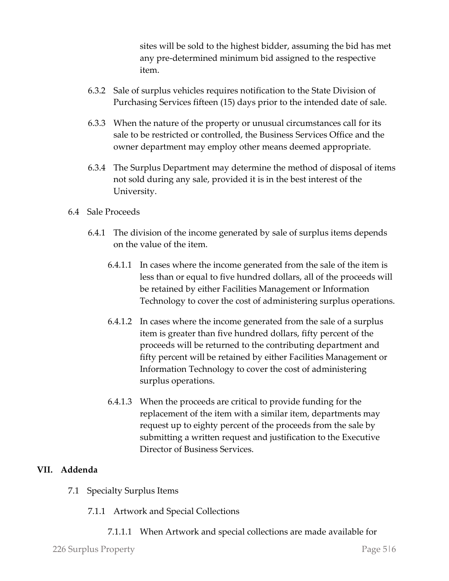sites will be sold to the highest bidder, assuming the bid has met any pre-determined minimum bid assigned to the respective item.

- 6.3.2 Sale of surplus vehicles requires notification to the State Division of Purchasing Services fifteen (15) days prior to the intended date of sale.
- 6.3.3 When the nature of the property or unusual circumstances call for its sale to be restricted or controlled, the Business Services Office and the owner department may employ other means deemed appropriate.
- 6.3.4 The Surplus Department may determine the method of disposal of items not sold during any sale, provided it is in the best interest of the University.
- 6.4 Sale Proceeds
	- 6.4.1 The division of the income generated by sale of surplus items depends on the value of the item.
		- 6.4.1.1 In cases where the income generated from the sale of the item is less than or equal to five hundred dollars, all of the proceeds will be retained by either Facilities Management or Information Technology to cover the cost of administering surplus operations.
		- 6.4.1.2 In cases where the income generated from the sale of a surplus item is greater than five hundred dollars, fifty percent of the proceeds will be returned to the contributing department and fifty percent will be retained by either Facilities Management or Information Technology to cover the cost of administering surplus operations.
		- 6.4.1.3 When the proceeds are critical to provide funding for the replacement of the item with a similar item, departments may request up to eighty percent of the proceeds from the sale by submitting a written request and justification to the Executive Director of Business Services.

### **VII. Addenda**

- 7.1 Specialty Surplus Items
	- 7.1.1 Artwork and Special Collections
		- 7.1.1.1 When Artwork and special collections are made available for